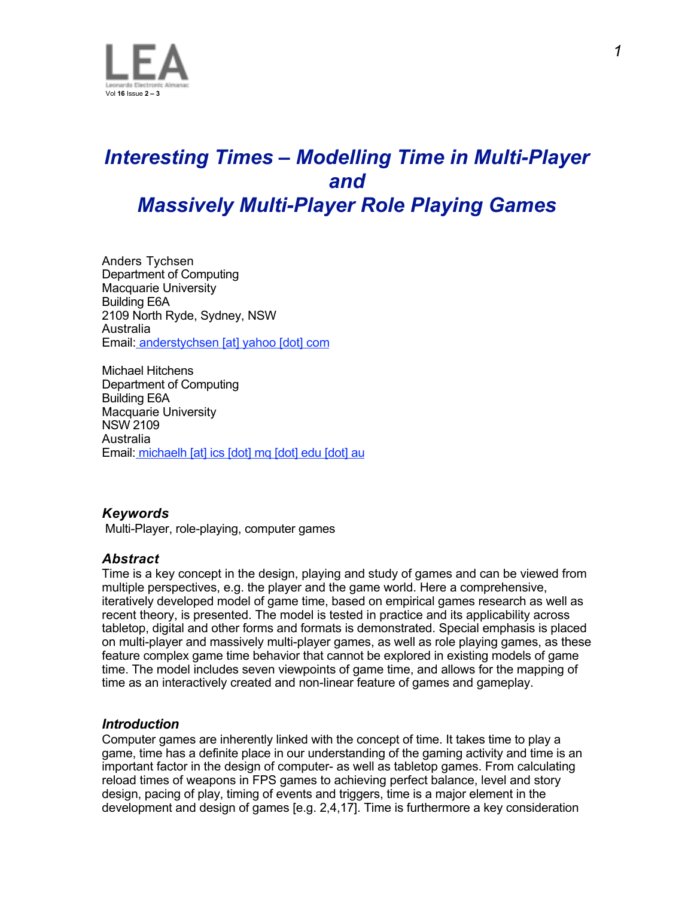

# *Interesting Times – Modelling Time in Multi-Player and Massively Multi-Player Role Playing Games*

Anders Tychsen Department of Computing Macquarie University Building E6A 2109 North Ryde, Sydney, NSW Australia Email: anderstychsen [at] yahoo [dot] com

Michael Hitchens Department of Computing Building E6A Macquarie University NSW 2109 Australia Email: michaelh [at] ics [dot] mq [dot] edu [dot] au

### *Keywords*

Multi-Player, role-playing, computer games

### *Abstract*

Time is a key concept in the design, playing and study of games and can be viewed from multiple perspectives, e.g. the player and the game world. Here a comprehensive, iteratively developed model of game time, based on empirical games research as well as recent theory, is presented. The model is tested in practice and its applicability across tabletop, digital and other forms and formats is demonstrated. Special emphasis is placed on multi-player and massively multi-player games, as well as role playing games, as these feature complex game time behavior that cannot be explored in existing models of game time. The model includes seven viewpoints of game time, and allows for the mapping of time as an interactively created and non-linear feature of games and gameplay.

### *Introduction*

Computer games are inherently linked with the concept of time. It takes time to play a game, time has a definite place in our understanding of the gaming activity and time is an important factor in the design of computer- as well as tabletop games. From calculating reload times of weapons in FPS games to achieving perfect balance, level and story design, pacing of play, timing of events and triggers, time is a major element in the development and design of games [e.g. 2,4,17]. Time is furthermore a key consideration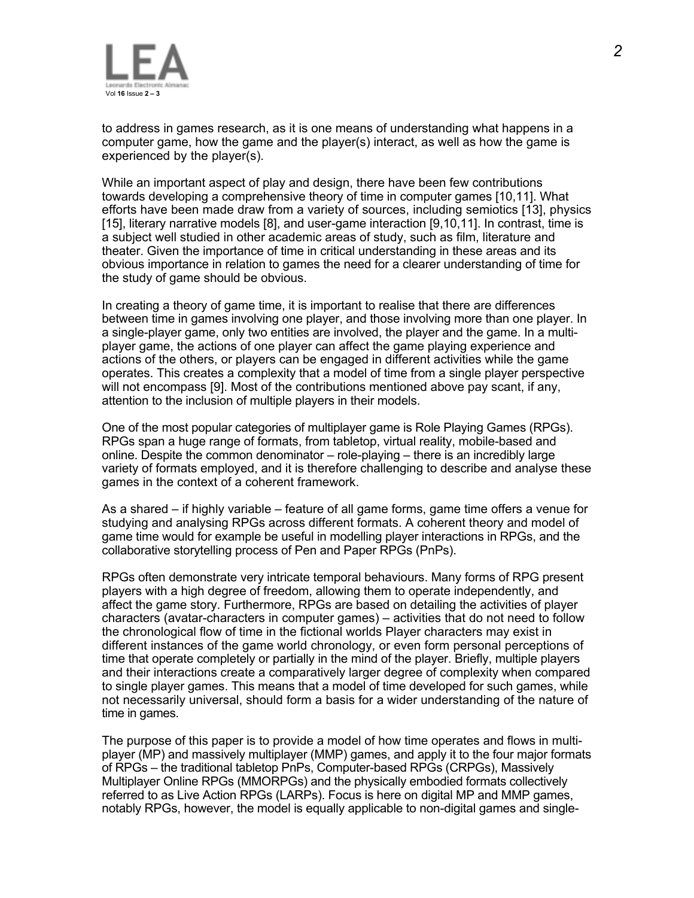

to address in games research, as it is one means of understanding what happens in a computer game, how the game and the player(s) interact, as well as how the game is experienced by the player(s).

While an important aspect of play and design, there have been few contributions towards developing a comprehensive theory of time in computer games [10,11]. What efforts have been made draw from a variety of sources, including semiotics [13], physics [15], literary narrative models [8], and user-game interaction [9,10,11]. In contrast, time is a subject well studied in other academic areas of study, such as film, literature and theater. Given the importance of time in critical understanding in these areas and its obvious importance in relation to games the need for a clearer understanding of time for the study of game should be obvious.

In creating a theory of game time, it is important to realise that there are differences between time in games involving one player, and those involving more than one player. In a single-player game, only two entities are involved, the player and the game. In a multiplayer game, the actions of one player can affect the game playing experience and actions of the others, or players can be engaged in different activities while the game operates. This creates a complexity that a model of time from a single player perspective will not encompass [9]. Most of the contributions mentioned above pay scant, if any, attention to the inclusion of multiple players in their models.

One of the most popular categories of multiplayer game is Role Playing Games (RPGs). RPGs span a huge range of formats, from tabletop, virtual reality, mobile-based and online. Despite the common denominator – role-playing – there is an incredibly large variety of formats employed, and it is therefore challenging to describe and analyse these games in the context of a coherent framework.

As a shared – if highly variable – feature of all game forms, game time offers a venue for studying and analysing RPGs across different formats. A coherent theory and model of game time would for example be useful in modelling player interactions in RPGs, and the collaborative storytelling process of Pen and Paper RPGs (PnPs).

RPGs often demonstrate very intricate temporal behaviours. Many forms of RPG present players with a high degree of freedom, allowing them to operate independently, and affect the game story. Furthermore, RPGs are based on detailing the activities of player characters (avatar-characters in computer games) – activities that do not need to follow the chronological flow of time in the fictional worlds Player characters may exist in different instances of the game world chronology, or even form personal perceptions of time that operate completely or partially in the mind of the player. Briefly, multiple players and their interactions create a comparatively larger degree of complexity when compared to single player games. This means that a model of time developed for such games, while not necessarily universal, should form a basis for a wider understanding of the nature of time in games.

The purpose of this paper is to provide a model of how time operates and flows in multiplayer (MP) and massively multiplayer (MMP) games, and apply it to the four major formats of RPGs – the traditional tabletop PnPs, Computer-based RPGs (CRPGs), Massively Multiplayer Online RPGs (MMORPGs) and the physically embodied formats collectively referred to as Live Action RPGs (LARPs). Focus is here on digital MP and MMP games, notably RPGs, however, the model is equally applicable to non-digital games and single-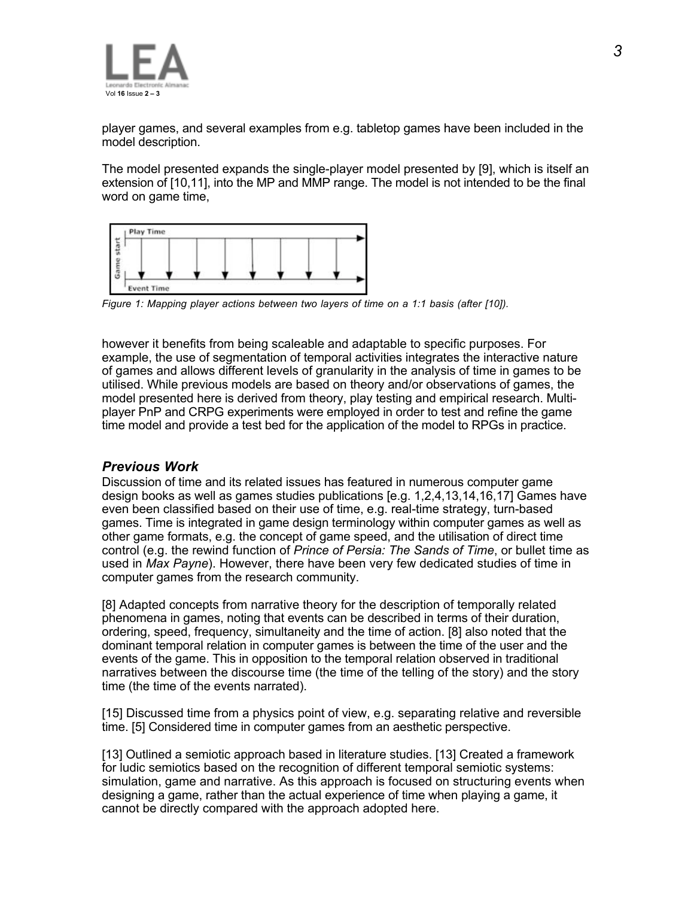

player games, and several examples from e.g. tabletop games have been included in the model description.

The model presented expands the single-player model presented by [9], which is itself an extension of [10,11], into the MP and MMP range. The model is not intended to be the final word on game time,



*Figure 1: Mapping player actions between two layers of time on a 1:1 basis (after [10]).*

however it benefits from being scaleable and adaptable to specific purposes. For example, the use of segmentation of temporal activities integrates the interactive nature of games and allows different levels of granularity in the analysis of time in games to be utilised. While previous models are based on theory and/or observations of games, the model presented here is derived from theory, play testing and empirical research. Multiplayer PnP and CRPG experiments were employed in order to test and refine the game time model and provide a test bed for the application of the model to RPGs in practice.

### *Previous Work*

Discussion of time and its related issues has featured in numerous computer game design books as well as games studies publications [e.g. 1,2,4,13,14,16,17] Games have even been classified based on their use of time, e.g. real-time strategy, turn-based games. Time is integrated in game design terminology within computer games as well as other game formats, e.g. the concept of game speed, and the utilisation of direct time control (e.g. the rewind function of *Prince of Persia: The Sands of Time*, or bullet time as used in *Max Payne*). However, there have been very few dedicated studies of time in computer games from the research community.

[8] Adapted concepts from narrative theory for the description of temporally related phenomena in games, noting that events can be described in terms of their duration, ordering, speed, frequency, simultaneity and the time of action. [8] also noted that the dominant temporal relation in computer games is between the time of the user and the events of the game. This in opposition to the temporal relation observed in traditional narratives between the discourse time (the time of the telling of the story) and the story time (the time of the events narrated).

[15] Discussed time from a physics point of view, e.g. separating relative and reversible time. [5] Considered time in computer games from an aesthetic perspective.

[13] Outlined a semiotic approach based in literature studies. [13] Created a framework for ludic semiotics based on the recognition of different temporal semiotic systems: simulation, game and narrative. As this approach is focused on structuring events when designing a game, rather than the actual experience of time when playing a game, it cannot be directly compared with the approach adopted here.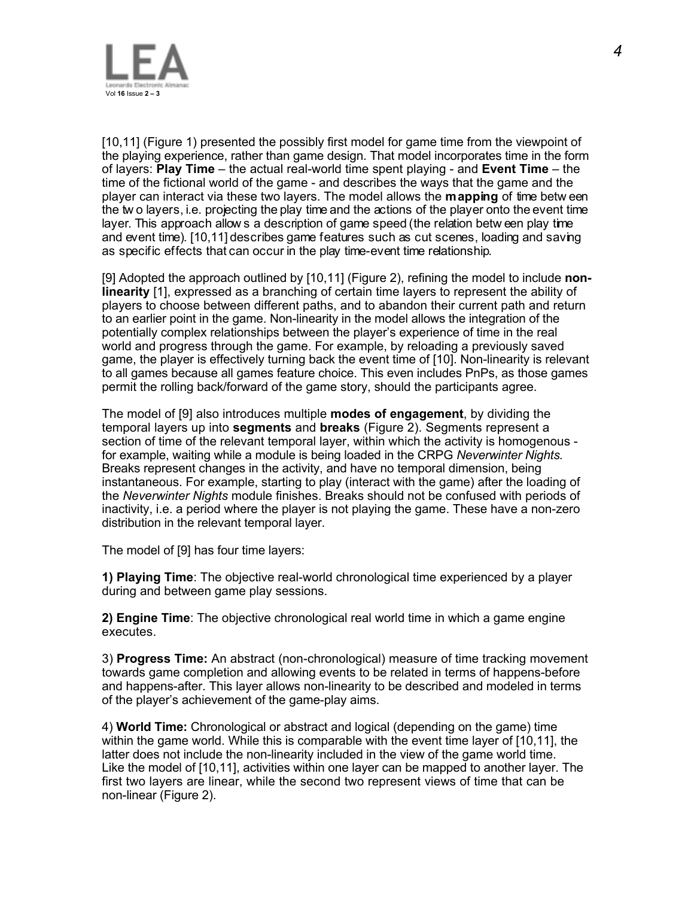

[10,11] (Figure 1) presented the possibly first model for game time from the viewpoint of the playing experience, rather than game design. That model incorporates time in the form of layers: **Play Time** – the actual real-world time spent playing - and **Event Time** – the time of the fictional world of the game - and describes the ways that the game and the player can interact via these two layers. The model allows the **mapping** of time betw een the tw o layers, i.e. projecting the play time and the actions of the player onto the event time layer. This approach allow s a description of game speed (the relation betw een play time and event time). [10,11] describes game features such as cut scenes, loading and saving as specific effects that can occur in the play time-event time relationship.

[9] Adopted the approach outlined by [10,11] (Figure 2), refining the model to include **nonlinearity** [1], expressed as a branching of certain time layers to represent the ability of players to choose between different paths, and to abandon their current path and return to an earlier point in the game. Non-linearity in the model allows the integration of the potentially complex relationships between the player's experience of time in the real world and progress through the game. For example, by reloading a previously saved game, the player is effectively turning back the event time of [10]. Non-linearity is relevant to all games because all games feature choice. This even includes PnPs, as those games permit the rolling back/forward of the game story, should the participants agree.

The model of [9] also introduces multiple **modes of engagement**, by dividing the temporal layers up into **segments** and **breaks** (Figure 2). Segments represent a section of time of the relevant temporal layer, within which the activity is homogenous for example, waiting while a module is being loaded in the CRPG *Neverwinter Nights.* Breaks represent changes in the activity, and have no temporal dimension, being instantaneous. For example, starting to play (interact with the game) after the loading of the *Neverwinter Nights* module finishes. Breaks should not be confused with periods of inactivity, i.e. a period where the player is not playing the game. These have a non-zero distribution in the relevant temporal layer.

The model of [9] has four time layers:

**1) Playing Time**: The objective real-world chronological time experienced by a player during and between game play sessions.

**2) Engine Time**: The objective chronological real world time in which a game engine executes.

3) **Progress Time:** An abstract (non-chronological) measure of time tracking movement towards game completion and allowing events to be related in terms of happens-before and happens-after. This layer allows non-linearity to be described and modeled in terms of the player's achievement of the game-play aims.

4) **World Time:** Chronological or abstract and logical (depending on the game) time within the game world. While this is comparable with the event time layer of [10,11], the latter does not include the non-linearity included in the view of the game world time. Like the model of [10,11], activities within one layer can be mapped to another layer. The first two layers are linear, while the second two represent views of time that can be non-linear (Figure 2).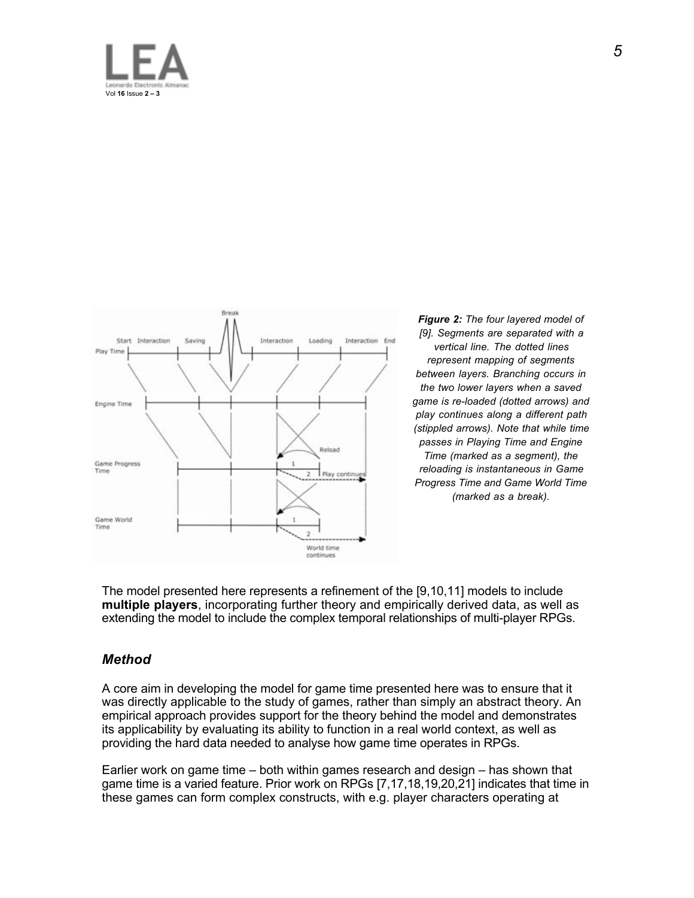



*Figure 2: The four layered model of [9]. Segments are separated with a vertical line. The dotted lines represent mapping of segments between layers. Branching occurs in the two lower layers when a saved game is re-loaded (dotted arrows) and play continues along a different path (stippled arrows). Note that while time passes in Playing Time and Engine Time (marked as a segment), the reloading is instantaneous in Game Progress Time and Game World Time (marked as a break).*

The model presented here represents a refinement of the [9,10,11] models to include **multiple players**, incorporating further theory and empirically derived data, as well as extending the model to include the complex temporal relationships of multi-player RPGs.

### *Method*

A core aim in developing the model for game time presented here was to ensure that it was directly applicable to the study of games, rather than simply an abstract theory. An empirical approach provides support for the theory behind the model and demonstrates its applicability by evaluating its ability to function in a real world context, as well as providing the hard data needed to analyse how game time operates in RPGs.

Earlier work on game time – both within games research and design – has shown that game time is a varied feature. Prior work on RPGs [7,17,18,19,20,21] indicates that time in these games can form complex constructs, with e.g. player characters operating at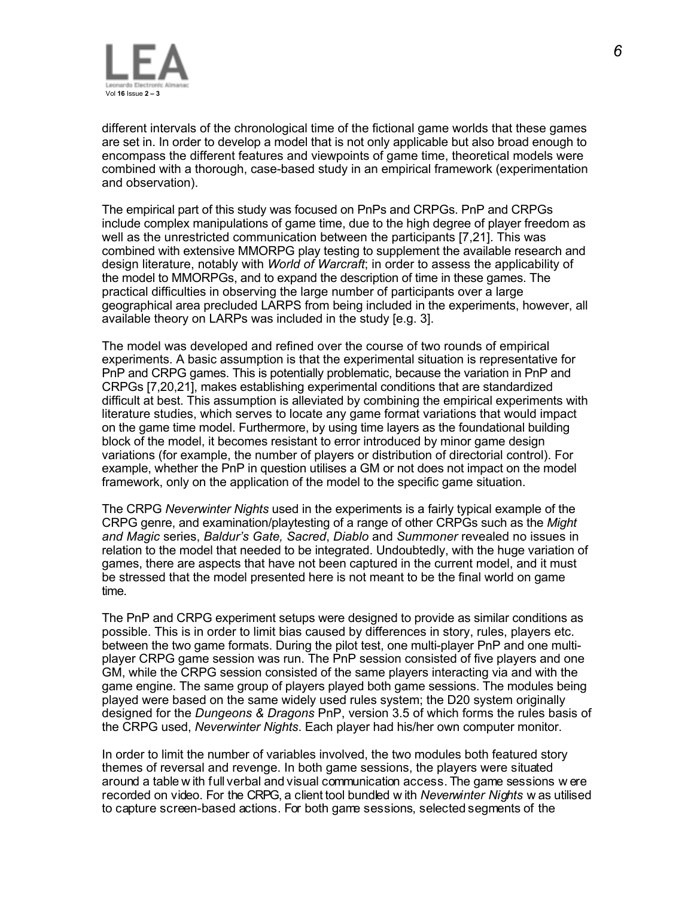

different intervals of the chronological time of the fictional game worlds that these games are set in. In order to develop a model that is not only applicable but also broad enough to encompass the different features and viewpoints of game time, theoretical models were combined with a thorough, case-based study in an empirical framework (experimentation and observation).

The empirical part of this study was focused on PnPs and CRPGs. PnP and CRPGs include complex manipulations of game time, due to the high degree of player freedom as well as the unrestricted communication between the participants [7,21]. This was combined with extensive MMORPG play testing to supplement the available research and design literature, notably with *World of Warcraft*; in order to assess the applicability of the model to MMORPGs, and to expand the description of time in these games. The practical difficulties in observing the large number of participants over a large geographical area precluded LARPS from being included in the experiments, however, all available theory on LARPs was included in the study [e.g. 3].

The model was developed and refined over the course of two rounds of empirical experiments. A basic assumption is that the experimental situation is representative for PnP and CRPG games. This is potentially problematic, because the variation in PnP and CRPGs [7,20,21], makes establishing experimental conditions that are standardized difficult at best. This assumption is alleviated by combining the empirical experiments with literature studies, which serves to locate any game format variations that would impact on the game time model. Furthermore, by using time layers as the foundational building block of the model, it becomes resistant to error introduced by minor game design variations (for example, the number of players or distribution of directorial control). For example, whether the PnP in question utilises a GM or not does not impact on the model framework, only on the application of the model to the specific game situation.

The CRPG *Neverwinter Nights* used in the experiments is a fairly typical example of the CRPG genre, and examination/playtesting of a range of other CRPGs such as the *Might and Magic* series, *Baldur's Gate, Sacred*, *Diablo* and *Summoner* revealed no issues in relation to the model that needed to be integrated. Undoubtedly, with the huge variation of games, there are aspects that have not been captured in the current model, and it must be stressed that the model presented here is not meant to be the final world on game time.

The PnP and CRPG experiment setups were designed to provide as similar conditions as possible. This is in order to limit bias caused by differences in story, rules, players etc. between the two game formats. During the pilot test, one multi-player PnP and one multiplayer CRPG game session was run. The PnP session consisted of five players and one GM, while the CRPG session consisted of the same players interacting via and with the game engine. The same group of players played both game sessions. The modules being played were based on the same widely used rules system; the D20 system originally designed for the *Dungeons & Dragons* PnP, version 3.5 of which forms the rules basis of the CRPG used, *Neverwinter Nights*. Each player had his/her own computer monitor.

In order to limit the number of variables involved, the two modules both featured story themes of reversal and revenge. In both game sessions, the players were situated around a table w ith full verbal and visual communication access. The game sessions w ere recorded on video. For the CRPG, a client tool bundled w ith *Neverwinter Nights* w as utilised to capture screen-based actions. For both game sessions, selected segments of the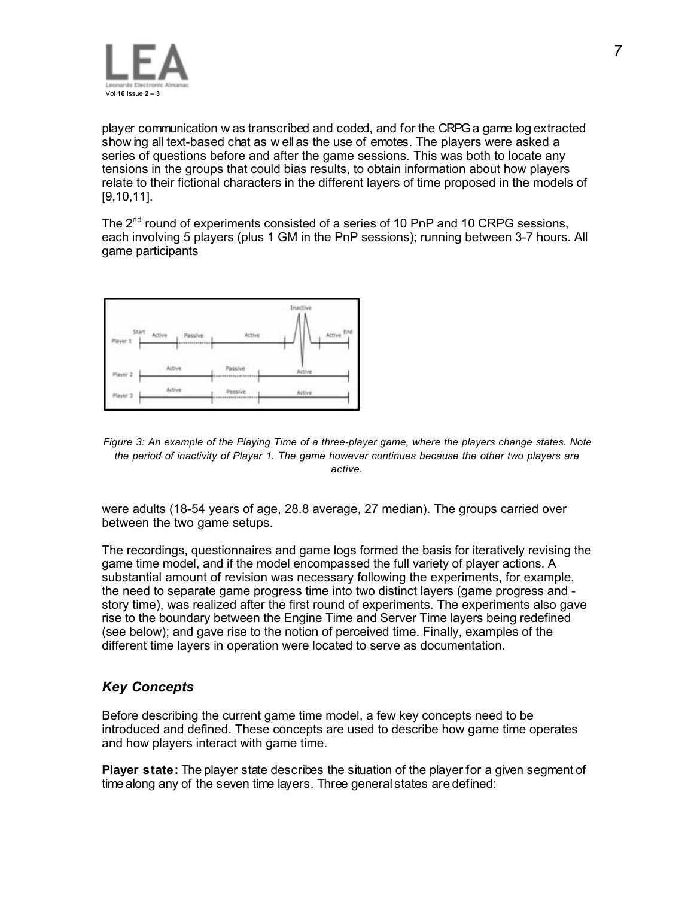

player communication w as transcribed and coded, and for the CRPGa game log extracted show ing all text-based chat as w ell as the use of emotes. The players were asked a series of questions before and after the game sessions. This was both to locate any tensions in the groups that could bias results, to obtain information about how players relate to their fictional characters in the different layers of time proposed in the models of [9,10,11].

The 2<sup>nd</sup> round of experiments consisted of a series of 10 PnP and 10 CRPG sessions, each involving 5 players (plus 1 GM in the PnP sessions); running between 3-7 hours. All game participants



*Figure 3: An example of the Playing Time of a three-player game, where the players change states. Note the period of inactivity of Player 1. The game however continues because the other two players are active.*

were adults (18-54 years of age, 28.8 average, 27 median). The groups carried over between the two game setups.

The recordings, questionnaires and game logs formed the basis for iteratively revising the game time model, and if the model encompassed the full variety of player actions. A substantial amount of revision was necessary following the experiments, for example, the need to separate game progress time into two distinct layers (game progress and story time), was realized after the first round of experiments. The experiments also gave rise to the boundary between the Engine Time and Server Time layers being redefined (see below); and gave rise to the notion of perceived time. Finally, examples of the different time layers in operation were located to serve as documentation.

## *Key Concepts*

Before describing the current game time model, a few key concepts need to be introduced and defined. These concepts are used to describe how game time operates and how players interact with game time.

**Player state:** The player state describes the situation of the player for a given segment of time along any of the seven time layers. Three general states are defined: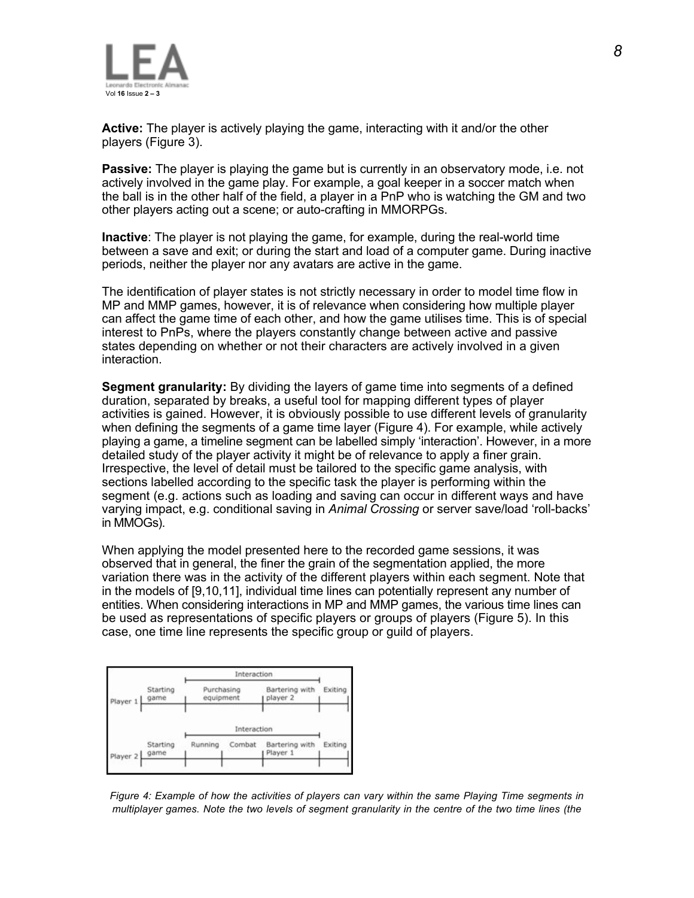

**Active:** The player is actively playing the game, interacting with it and/or the other players (Figure 3).

**Passive:** The player is playing the game but is currently in an observatory mode, i.e. not actively involved in the game play. For example, a goal keeper in a soccer match when the ball is in the other half of the field, a player in a PnP who is watching the GM and two other players acting out a scene; or auto-crafting in MMORPGs.

**Inactive**: The player is not playing the game, for example, during the real-world time between a save and exit; or during the start and load of a computer game. During inactive periods, neither the player nor any avatars are active in the game.

The identification of player states is not strictly necessary in order to model time flow in MP and MMP games, however, it is of relevance when considering how multiple player can affect the game time of each other, and how the game utilises time. This is of special interest to PnPs, where the players constantly change between active and passive states depending on whether or not their characters are actively involved in a given interaction.

**Segment granularity:** By dividing the layers of game time into segments of a defined duration, separated by breaks, a useful tool for mapping different types of player activities is gained. However, it is obviously possible to use different levels of granularity when defining the segments of a game time layer (Figure 4). For example, while actively playing a game, a timeline segment can be labelled simply 'interaction'. However, in a more detailed study of the player activity it might be of relevance to apply a finer grain. Irrespective, the level of detail must be tailored to the specific game analysis, with sections labelled according to the specific task the player is performing within the segment (e.g. actions such as loading and saving can occur in different ways and have varying impact, e.g. conditional saving in *Animal Crossing* or server save/load 'roll-backs' in MMOGs).

When applying the model presented here to the recorded game sessions, it was observed that in general, the finer the grain of the segmentation applied, the more variation there was in the activity of the different players within each segment. Note that in the models of [9,10,11], individual time lines can potentially represent any number of entities. When considering interactions in MP and MMP games, the various time lines can be used as representations of specific players or groups of players (Figure 5). In this case, one time line represents the specific group or guild of players.



*Figure 4: Example of how the activities of players can vary within the same Playing Time segments in multiplayer games. Note the two levels of segment granularity in the centre of the two time lines (the*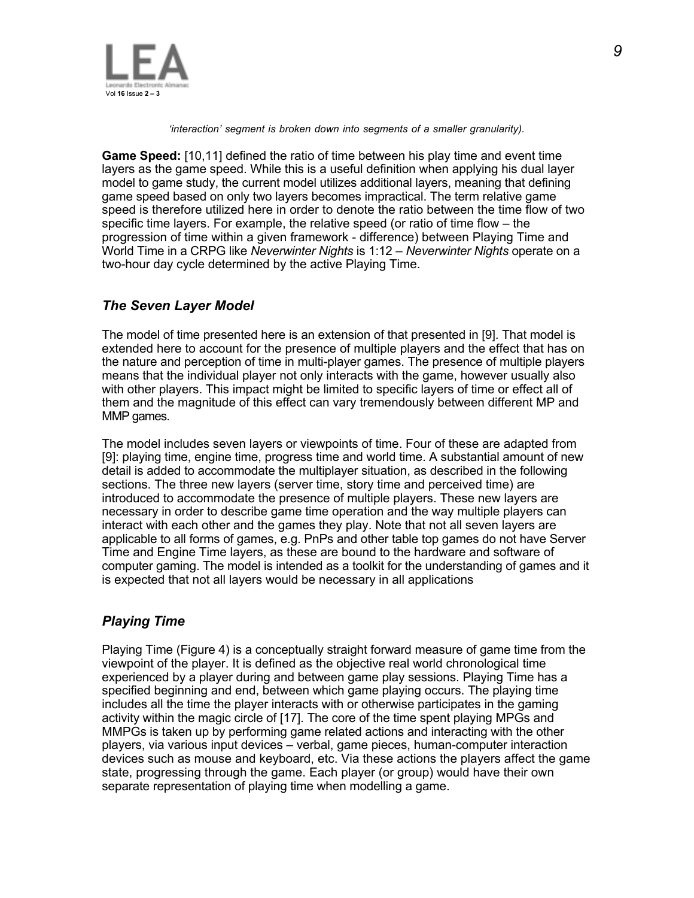

*'interaction' segment is broken down into segments of a smaller granularity).*

**Game Speed:** [10,11] defined the ratio of time between his play time and event time layers as the game speed. While this is a useful definition when applying his dual layer model to game study, the current model utilizes additional layers, meaning that defining game speed based on only two layers becomes impractical. The term relative game speed is therefore utilized here in order to denote the ratio between the time flow of two specific time layers. For example, the relative speed (or ratio of time flow – the progression of time within a given framework - difference) between Playing Time and World Time in a CRPG like *Neverwinter Nights* is 1:12 – *Neverwinter Nights* operate on a two-hour day cycle determined by the active Playing Time.

## *The Seven Layer Model*

The model of time presented here is an extension of that presented in [9]. That model is extended here to account for the presence of multiple players and the effect that has on the nature and perception of time in multi-player games. The presence of multiple players means that the individual player not only interacts with the game, however usually also with other players. This impact might be limited to specific layers of time or effect all of them and the magnitude of this effect can vary tremendously between different MP and MMP games.

The model includes seven layers or viewpoints of time. Four of these are adapted from [9]: playing time, engine time, progress time and world time. A substantial amount of new detail is added to accommodate the multiplayer situation, as described in the following sections. The three new layers (server time, story time and perceived time) are introduced to accommodate the presence of multiple players. These new layers are necessary in order to describe game time operation and the way multiple players can interact with each other and the games they play. Note that not all seven layers are applicable to all forms of games, e.g. PnPs and other table top games do not have Server Time and Engine Time layers, as these are bound to the hardware and software of computer gaming. The model is intended as a toolkit for the understanding of games and it is expected that not all layers would be necessary in all applications

## *Playing Time*

Playing Time (Figure 4) is a conceptually straight forward measure of game time from the viewpoint of the player. It is defined as the objective real world chronological time experienced by a player during and between game play sessions. Playing Time has a specified beginning and end, between which game playing occurs. The playing time includes all the time the player interacts with or otherwise participates in the gaming activity within the magic circle of [17]. The core of the time spent playing MPGs and MMPGs is taken up by performing game related actions and interacting with the other players, via various input devices – verbal, game pieces, human-computer interaction devices such as mouse and keyboard, etc. Via these actions the players affect the game state, progressing through the game. Each player (or group) would have their own separate representation of playing time when modelling a game.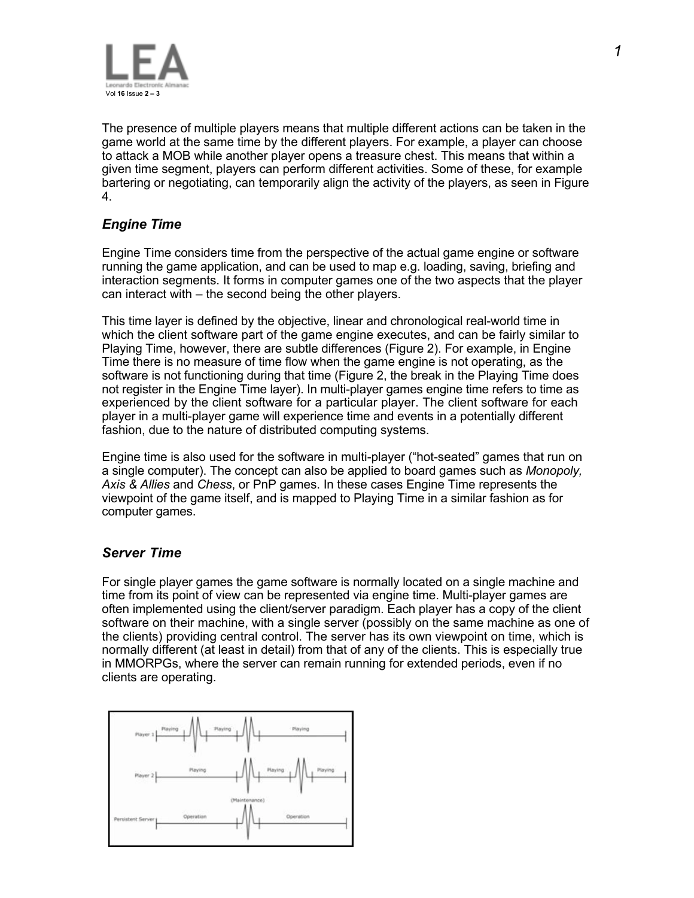

The presence of multiple players means that multiple different actions can be taken in the game world at the same time by the different players. For example, a player can choose to attack a MOB while another player opens a treasure chest. This means that within a given time segment, players can perform different activities. Some of these, for example bartering or negotiating, can temporarily align the activity of the players, as seen in Figure 4.

## *Engine Time*

Engine Time considers time from the perspective of the actual game engine or software running the game application, and can be used to map e.g. loading, saving, briefing and interaction segments. It forms in computer games one of the two aspects that the player can interact with – the second being the other players.

This time layer is defined by the objective, linear and chronological real-world time in which the client software part of the game engine executes, and can be fairly similar to Playing Time, however, there are subtle differences (Figure 2). For example, in Engine Time there is no measure of time flow when the game engine is not operating, as the software is not functioning during that time (Figure 2, the break in the Playing Time does not register in the Engine Time layer). In multi-player games engine time refers to time as experienced by the client software for a particular player. The client software for each player in a multi-player game will experience time and events in a potentially different fashion, due to the nature of distributed computing systems.

Engine time is also used for the software in multi-player ("hot-seated" games that run on a single computer). The concept can also be applied to board games such as *Monopoly, Axis & Allies* and *Chess*, or PnP games. In these cases Engine Time represents the viewpoint of the game itself, and is mapped to Playing Time in a similar fashion as for computer games.

### *Server Time*

For single player games the game software is normally located on a single machine and time from its point of view can be represented via engine time. Multi-player games are often implemented using the client/server paradigm. Each player has a copy of the client software on their machine, with a single server (possibly on the same machine as one of the clients) providing central control. The server has its own viewpoint on time, which is normally different (at least in detail) from that of any of the clients. This is especially true in MMORPGs, where the server can remain running for extended periods, even if no clients are operating.

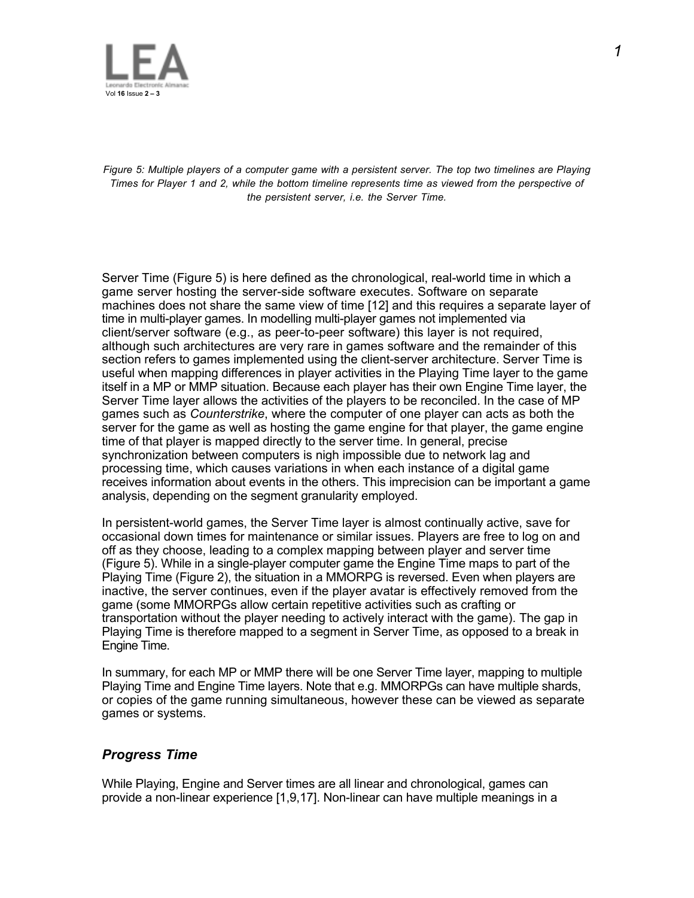

*Figure 5: Multiple players of a computer game with a persistent server. The top two timelines are Playing Times for Player 1 and 2, while the bottom timeline represents time as viewed from the perspective of the persistent server, i.e. the Server Time.*

Server Time (Figure 5) is here defined as the chronological, real-world time in which a game server hosting the server-side software executes. Software on separate machines does not share the same view of time [12] and this requires a separate layer of time in multi-player games. In modelling multi-player games not implemented via client/server software (e.g., as peer-to-peer software) this layer is not required, although such architectures are very rare in games software and the remainder of this section refers to games implemented using the client-server architecture. Server Time is useful when mapping differences in player activities in the Playing Time layer to the game itself in a MP or MMP situation. Because each player has their own Engine Time layer, the Server Time layer allows the activities of the players to be reconciled. In the case of MP games such as *Counterstrike*, where the computer of one player can acts as both the server for the game as well as hosting the game engine for that player, the game engine time of that player is mapped directly to the server time. In general, precise synchronization between computers is nigh impossible due to network lag and processing time, which causes variations in when each instance of a digital game receives information about events in the others. This imprecision can be important a game analysis, depending on the segment granularity employed.

In persistent-world games, the Server Time layer is almost continually active, save for occasional down times for maintenance or similar issues. Players are free to log on and off as they choose, leading to a complex mapping between player and server time (Figure 5). While in a single-player computer game the Engine Time maps to part of the Playing Time (Figure 2), the situation in a MMORPG is reversed. Even when players are inactive, the server continues, even if the player avatar is effectively removed from the game (some MMORPGs allow certain repetitive activities such as crafting or transportation without the player needing to actively interact with the game). The gap in Playing Time is therefore mapped to a segment in Server Time, as opposed to a break in Engine Time.

In summary, for each MP or MMP there will be one Server Time layer, mapping to multiple Playing Time and Engine Time layers. Note that e.g. MMORPGs can have multiple shards, or copies of the game running simultaneous, however these can be viewed as separate games or systems.

## *Progress Time*

While Playing, Engine and Server times are all linear and chronological, games can provide a non-linear experience [1,9,17]. Non-linear can have multiple meanings in a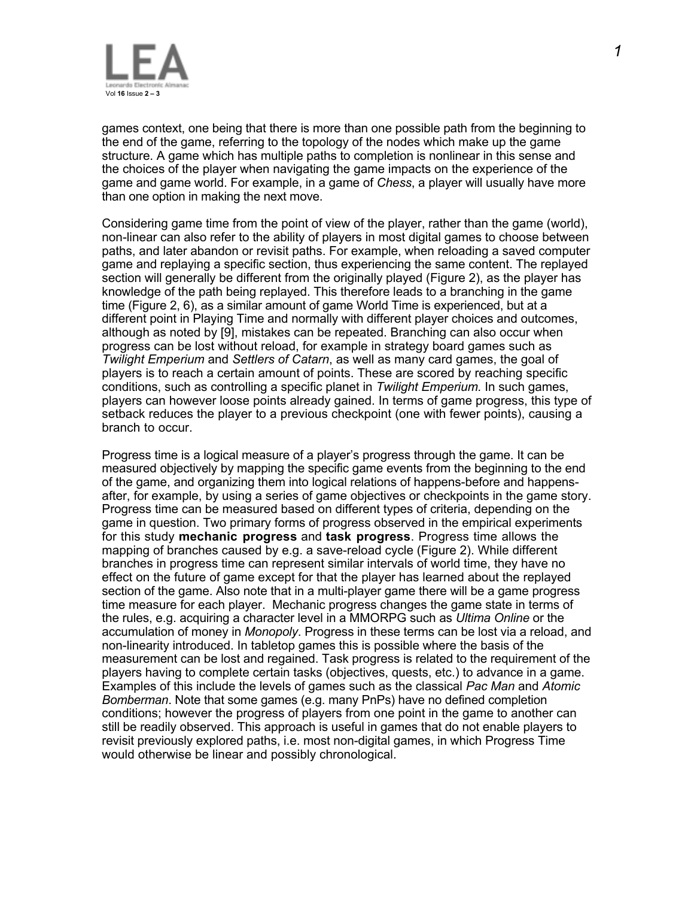

games context, one being that there is more than one possible path from the beginning to the end of the game, referring to the topology of the nodes which make up the game structure. A game which has multiple paths to completion is nonlinear in this sense and the choices of the player when navigating the game impacts on the experience of the game and game world. For example, in a game of *Chess*, a player will usually have more than one option in making the next move.

Considering game time from the point of view of the player, rather than the game (world), non-linear can also refer to the ability of players in most digital games to choose between paths, and later abandon or revisit paths. For example, when reloading a saved computer game and replaying a specific section, thus experiencing the same content. The replayed section will generally be different from the originally played (Figure 2), as the player has knowledge of the path being replayed. This therefore leads to a branching in the game time (Figure 2, 6), as a similar amount of game World Time is experienced, but at a different point in Playing Time and normally with different player choices and outcomes, although as noted by [9], mistakes can be repeated. Branching can also occur when progress can be lost without reload, for example in strategy board games such as *Twilight Emperium* and *Settlers of Catarn*, as well as many card games, the goal of players is to reach a certain amount of points. These are scored by reaching specific conditions, such as controlling a specific planet in *Twilight Emperium.* In such games, players can however loose points already gained. In terms of game progress, this type of setback reduces the player to a previous checkpoint (one with fewer points), causing a branch to occur.

Progress time is a logical measure of a player's progress through the game. It can be measured objectively by mapping the specific game events from the beginning to the end of the game, and organizing them into logical relations of happens-before and happensafter, for example, by using a series of game objectives or checkpoints in the game story. Progress time can be measured based on different types of criteria, depending on the game in question. Two primary forms of progress observed in the empirical experiments for this study **mechanic progress** and **task progress**. Progress time allows the mapping of branches caused by e.g. a save-reload cycle (Figure 2). While different branches in progress time can represent similar intervals of world time, they have no effect on the future of game except for that the player has learned about the replayed section of the game. Also note that in a multi-player game there will be a game progress time measure for each player. Mechanic progress changes the game state in terms of the rules, e.g. acquiring a character level in a MMORPG such as *Ultima Online* or the accumulation of money in *Monopoly*. Progress in these terms can be lost via a reload, and non-linearity introduced. In tabletop games this is possible where the basis of the measurement can be lost and regained. Task progress is related to the requirement of the players having to complete certain tasks (objectives, quests, etc.) to advance in a game. Examples of this include the levels of games such as the classical *Pac Man* and *Atomic Bomberman*. Note that some games (e.g. many PnPs) have no defined completion conditions; however the progress of players from one point in the game to another can still be readily observed. This approach is useful in games that do not enable players to revisit previously explored paths, i.e. most non-digital games, in which Progress Time would otherwise be linear and possibly chronological.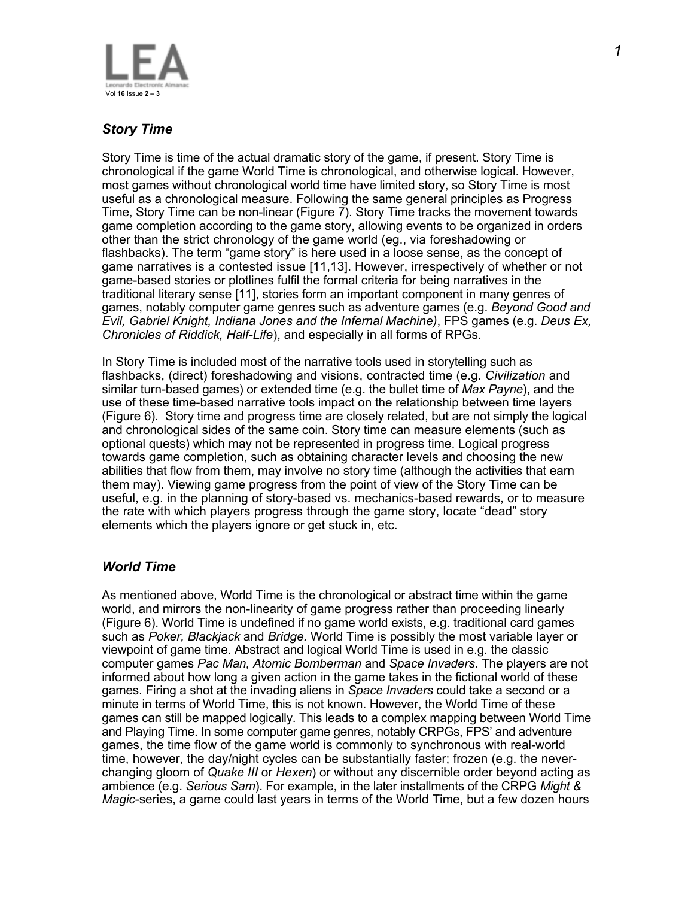

# *Story Time*

Story Time is time of the actual dramatic story of the game, if present. Story Time is chronological if the game World Time is chronological, and otherwise logical. However, most games without chronological world time have limited story, so Story Time is most useful as a chronological measure. Following the same general principles as Progress Time, Story Time can be non-linear (Figure 7). Story Time tracks the movement towards game completion according to the game story, allowing events to be organized in orders other than the strict chronology of the game world (eg., via foreshadowing or flashbacks). The term "game story" is here used in a loose sense, as the concept of game narratives is a contested issue [11,13]. However, irrespectively of whether or not game-based stories or plotlines fulfil the formal criteria for being narratives in the traditional literary sense [11], stories form an important component in many genres of games, notably computer game genres such as adventure games (e.g. *Beyond Good and Evil, Gabriel Knight, Indiana Jones and the Infernal Machine)*, FPS games (e.g. *Deus Ex, Chronicles of Riddick, Half-Life*), and especially in all forms of RPGs.

In Story Time is included most of the narrative tools used in storytelling such as flashbacks, (direct) foreshadowing and visions, contracted time (e.g. *Civilization* and similar turn-based games) or extended time (e.g. the bullet time of *Max Payne*), and the use of these time-based narrative tools impact on the relationship between time layers (Figure 6). Story time and progress time are closely related, but are not simply the logical and chronological sides of the same coin. Story time can measure elements (such as optional quests) which may not be represented in progress time. Logical progress towards game completion, such as obtaining character levels and choosing the new abilities that flow from them, may involve no story time (although the activities that earn them may). Viewing game progress from the point of view of the Story Time can be useful, e.g. in the planning of story-based vs. mechanics-based rewards, or to measure the rate with which players progress through the game story, locate "dead" story elements which the players ignore or get stuck in, etc.

## *World Time*

As mentioned above, World Time is the chronological or abstract time within the game world, and mirrors the non-linearity of game progress rather than proceeding linearly (Figure 6). World Time is undefined if no game world exists, e.g. traditional card games such as *Poker, Blackjack* and *Bridge.* World Time is possibly the most variable layer or viewpoint of game time. Abstract and logical World Time is used in e.g. the classic computer games *Pac Man, Atomic Bomberman* and *Space Invaders*. The players are not informed about how long a given action in the game takes in the fictional world of these games. Firing a shot at the invading aliens in *Space Invaders* could take a second or a minute in terms of World Time, this is not known. However, the World Time of these games can still be mapped logically. This leads to a complex mapping between World Time and Playing Time. In some computer game genres, notably CRPGs, FPS' and adventure games, the time flow of the game world is commonly to synchronous with real-world time, however, the day/night cycles can be substantially faster; frozen (e.g. the neverchanging gloom of *Quake III* or *Hexen*) or without any discernible order beyond acting as ambience (e.g. *Serious Sam*). For example, in the later installments of the CRPG *Might & Magic*-series, a game could last years in terms of the World Time, but a few dozen hours